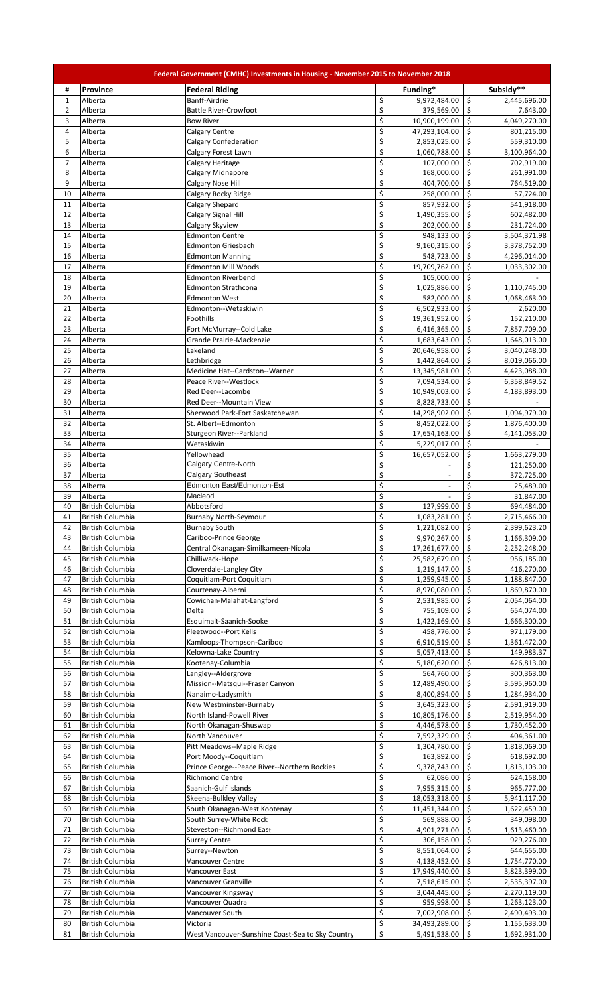|                |                                             | Federal Government (CMHC) Investments in Housing - November 2015 to November 2018 |                        |                               |                           |                              |
|----------------|---------------------------------------------|-----------------------------------------------------------------------------------|------------------------|-------------------------------|---------------------------|------------------------------|
| #              | <b>Province</b>                             | <b>Federal Riding</b>                                                             |                        | Funding*                      |                           | Subsidy**                    |
| $\mathbf{1}$   | Alberta                                     | Banff-Airdrie                                                                     | \$                     | 9,972,484.00                  | $\frac{1}{2}$             | 2,445,696.00                 |
| $\overline{2}$ | Alberta                                     | <b>Battle River-Crowfoot</b>                                                      | $\overline{\xi}$       | 379,569.00                    | $\zeta$                   | 7,643.00                     |
| 3              | Alberta                                     | <b>Bow River</b>                                                                  | $\overline{\xi}$       | 10,900,199.00                 | $\ddot{\mathsf{S}}$       | 4,049,270.00                 |
| 4              | Alberta                                     | Calgary Centre                                                                    | $\overline{\xi}$       | 47,293,104.00                 | \$                        | 801,215.00                   |
| 5              | Alberta                                     | <b>Calgary Confederation</b>                                                      | $\overline{\xi}$       | 2,853,025.00                  | \$                        | 559,310.00                   |
| 6              | Alberta                                     | Calgary Forest Lawn                                                               | \$                     | 1,060,788.00                  | \$                        | 3,100,964.00                 |
| $\overline{7}$ | Alberta                                     | Calgary Heritage                                                                  | \$                     | 107,000.00                    | \$                        | 702,919.00                   |
| 8              | Alberta                                     | Calgary Midnapore                                                                 | \$                     | 168,000.00                    | \$                        | 261,991.00                   |
| 9              | Alberta                                     | Calgary Nose Hill                                                                 | \$                     | 404,700.00                    | \$                        | 764,519.00                   |
| 10             | Alberta<br>Alberta                          | Calgary Rocky Ridge<br>Calgary Shepard                                            | \$<br>\$               | 258,000.00                    | \$                        | 57,724.00                    |
| 11<br>12       | Alberta                                     | Calgary Signal Hill                                                               | \$                     | 857,932.00<br>1,490,355.00    | \$<br>\$                  | 541,918.00<br>602,482.00     |
| 13             | Alberta                                     | Calgary Skyview                                                                   | $\overline{\xi}$       | 202,000.00                    | \$                        | 231,724.00                   |
| 14             | Alberta                                     | <b>Edmonton Centre</b>                                                            | \$                     | 948,133.00                    | \$                        | 3,504,371.98                 |
| 15             | Alberta                                     | <b>Edmonton Griesbach</b>                                                         | \$                     | 9,160,315.00                  | \$                        | 3,378,752.00                 |
| 16             | Alberta                                     | <b>Edmonton Manning</b>                                                           | \$                     | 548,723.00                    | \$                        | 4,296,014.00                 |
| 17             | Alberta                                     | <b>Edmonton Mill Woods</b>                                                        | \$                     | 19,709,762.00                 | \$                        | 1,033,302.00                 |
| 18             | Alberta                                     | <b>Edmonton Riverbend</b>                                                         | $\zeta$                | 105,000.00                    | $\mathsf{\hat{S}}$        |                              |
| 19             | Alberta                                     | <b>Edmonton Strathcona</b>                                                        | \$                     | 1,025,886.00                  | \$                        | 1,110,745.00                 |
| 20             | Alberta                                     | <b>Edmonton West</b>                                                              | \$                     | 582,000.00                    | \$                        | 1,068,463.00                 |
| 21             | Alberta                                     | Edmonton--Wetaskiwin                                                              | \$                     | 6,502,933.00                  | \$                        | 2,620.00                     |
| 22             | Alberta                                     | Foothills                                                                         | \$                     | 19,361,952.00                 | \$                        | 152,210.00                   |
| 23             | Alberta                                     | Fort McMurray--Cold Lake                                                          | \$                     | 6,416,365.00                  | \$                        | 7,857,709.00                 |
| 24             | Alberta                                     | Grande Prairie-Mackenzie                                                          | \$                     | 1,683,643.00                  | \$                        | 1,648,013.00                 |
| 25             | Alberta                                     | Lakeland                                                                          | \$                     | 20,646,958.00                 | \$                        | 3,040,248.00                 |
| 26             | Alberta                                     | Lethbridge                                                                        | \$                     | 1,442,864.00                  | $\zeta$                   | 8,019,066.00                 |
| 27             | Alberta                                     | Medicine Hat--Cardston--Warner                                                    | \$                     | 13,345,981.00                 | \$                        | 4,423,088.00                 |
| 28<br>29       | Alberta<br>Alberta                          | Peace River--Westlock<br>Red Deer--Lacombe                                        | \$<br>$\overline{\xi}$ | 7,094,534.00<br>10,949,003.00 | $\ddot{\mathsf{S}}$<br>\$ | 6,358,849.52                 |
| 30             | Alberta                                     | Red Deer--Mountain View                                                           | $\overline{\xi}$       | 8,828,733.00                  | \$                        | 4,183,893.00                 |
| 31             | Alberta                                     | Sherwood Park-Fort Saskatchewan                                                   | \$                     | 14,298,902.00                 | $\zeta$                   | 1,094,979.00                 |
| 32             | Alberta                                     | St. Albert--Edmonton                                                              | \$                     | 8,452,022.00                  | \$                        | 1,876,400.00                 |
| 33             | Alberta                                     | Sturgeon River--Parkland                                                          | \$                     | 17,654,163.00                 | \$                        | 4,141,053.00                 |
| 34             | Alberta                                     | Wetaskiwin                                                                        | \$                     | 5,229,017.00                  | \$                        |                              |
| 35             | Alberta                                     | Yellowhead                                                                        | \$                     | 16,657,052.00                 | \$                        | 1,663,279.00                 |
| 36             | Alberta                                     | Calgary Centre-North                                                              | \$                     |                               | \$                        | 121,250.00                   |
| 37             | Alberta                                     | <b>Calgary Southeast</b>                                                          | \$                     |                               | \$                        | 372,725.00                   |
| 38             | Alberta                                     | Edmonton East/Edmonton-Est                                                        | $\overline{\xi}$       |                               | \$                        | 25,489.00                    |
| 39             | Alberta                                     | Macleod                                                                           | $\overline{\xi}$       | $\blacksquare$                | \$                        | 31,847.00                    |
| 40             | <b>British Columbia</b>                     | Abbotsford                                                                        | $\dot{\mathsf{S}}$     | 127,999.00                    | \$                        | 694,484.00                   |
| 41             | <b>British Columbia</b>                     | <b>Burnaby North-Seymour</b>                                                      | \$                     | 1,083,281.00                  | $\zeta$                   | 2,715,466.00                 |
| 42             | <b>British Columbia</b>                     | <b>Burnaby South</b>                                                              | \$                     | 1,221,082.00                  | \$                        | 2,399,623.20                 |
| 43             | <b>British Columbia</b>                     | Cariboo-Prince George                                                             | \$                     | 9,970,267.00                  | $\zeta$                   | 1,166,309.00                 |
| 44             | <b>British Columbia</b>                     | Central Okanagan-Similkameen-Nicola                                               | \$                     | 17,261,677.00                 | \$                        | 2,252,248.00                 |
| 45<br>46       | British Columbia<br><b>British Columbia</b> | Chilliwack-Hope<br>Cloverdale-Langley City                                        | \$<br>\$               | 25,582,679.00<br>1,219,147.00 | \$<br>\$                  | 956,185.00<br>416,270.00     |
| 47             | British Columbia                            | Coquitlam-Port Coquitlam                                                          | \$                     | 1,259,945.00                  | \$                        | 1,188,847.00                 |
| 48             | <b>British Columbia</b>                     | Courtenay-Alberni                                                                 | \$                     | 8,970,080.00                  | \$                        | 1,869,870.00                 |
| 49             | British Columbia                            | Cowichan-Malahat-Langford                                                         | \$                     | 2,531,985.00                  | \$                        | 2,054,064.00                 |
| 50             | <b>British Columbia</b>                     | Delta                                                                             | \$                     | 755,109.00                    | \$                        | 654,074.00                   |
| 51             | <b>British Columbia</b>                     | Esquimalt-Saanich-Sooke                                                           | \$                     | 1,422,169.00                  | \$                        | 1,666,300.00                 |
| 52             | <b>British Columbia</b>                     | Fleetwood--Port Kells                                                             | \$                     | 458,776.00                    | \$                        | 971,179.00                   |
| 53             | British Columbia                            | Kamloops-Thompson-Cariboo                                                         | \$                     | 6,910,519.00                  | \$                        | 1,361,472.00                 |
| 54             | British Columbia                            | Kelowna-Lake Country                                                              | \$                     | 5,057,413.00                  | \$                        | 149,983.37                   |
| 55             | British Columbia                            | Kootenay-Columbia                                                                 | \$                     | 5,180,620.00                  | \$                        | 426,813.00                   |
| 56             | <b>British Columbia</b>                     | Langley--Aldergrove                                                               | \$                     | 564,760.00                    | \$                        | 300,363.00                   |
| 57             | <b>British Columbia</b>                     | Mission--Matsqui--Fraser Canyon                                                   | \$                     | 12,489,490.00                 | \$                        | 3,595,960.00                 |
| 58             | British Columbia                            | Nanaimo-Ladysmith                                                                 | \$                     | 8,400,894.00                  | \$                        | 1,284,934.00                 |
| 59             | British Columbia                            | New Westminster-Burnaby                                                           | \$                     | 3,645,323.00                  | \$                        | 2,591,919.00                 |
| 60             | British Columbia                            | North Island-Powell River                                                         | \$                     | 10,805,176.00                 | \$                        | 2,519,954.00                 |
| 61             | <b>British Columbia</b>                     | North Okanagan-Shuswap                                                            | \$                     | 4,446,578.00                  | \$                        | 1,730,452.00                 |
| 62<br>63       | British Columbia<br><b>British Columbia</b> | North Vancouver                                                                   | \$<br>\$               | 7,592,329.00                  | \$<br>\$                  | 404,361.00                   |
| 64             | British Columbia                            | Pitt Meadows--Maple Ridge<br>Port Moody--Coquitlam                                | \$                     | 1,304,780.00<br>163,892.00    | \$                        | 1,818,069.00<br>618,692.00   |
| 65             | <b>British Columbia</b>                     | Prince George--Peace River--Northern Rockies                                      | \$                     | 9,378,743.00                  | \$                        | 1,813,103.00                 |
| 66             | British Columbia                            | <b>Richmond Centre</b>                                                            | \$                     | 62,086.00                     | \$                        | 624,158.00                   |
| 67             | <b>British Columbia</b>                     | Saanich-Gulf Islands                                                              | $\overline{\xi}$       | 7,955,315.00                  | \$                        | 965,777.00                   |
| 68             | British Columbia                            | Skeena-Bulkley Valley                                                             | \$                     | 18,053,318.00                 | \$                        | 5,941,117.00                 |
| 69             | <b>British Columbia</b>                     | South Okanagan-West Kootenay                                                      | \$                     | 11,451,344.00                 | \$                        | 1,622,459.00                 |
| 70             | British Columbia                            | South Surrey-White Rock                                                           | \$                     | 569,888.00                    | \$                        | 349,098.00                   |
| 71             | <b>British Columbia</b>                     | Steveston--Richmond East                                                          | \$                     | 4,901,271.00                  | \$                        | 1,613,460.00                 |
| 72             | British Columbia                            | <b>Surrey Centre</b>                                                              | \$                     | 306,158.00                    | \$                        | 929,276.00                   |
| 73             | British Columbia                            | Surrey--Newton                                                                    | \$                     | 8,551,064.00                  | \$                        | 644,655.00                   |
| 74             | <b>British Columbia</b>                     | Vancouver Centre                                                                  | \$                     | 4,138,452.00                  | \$                        | 1,754,770.00                 |
| 75             | British Columbia                            | Vancouver East                                                                    | $\overline{\xi}$       | 17,949,440.00                 | \$                        | 3,823,399.00                 |
| 76             | British Columbia                            | Vancouver Granville                                                               | $\overline{\xi}$       | 7,518,615.00                  | \$                        | 2,535,397.00                 |
| 77             | British Columbia                            | Vancouver Kingsway                                                                | \$                     | 3,044,445.00                  | \$                        | 2,270,119.00                 |
| 78<br>79       | British Columbia                            | Vancouver Quadra                                                                  | \$<br>$\overline{\xi}$ | 959,998.00                    | \$                        | 1,263,123.00                 |
| 80             | British Columbia<br>British Columbia        | Vancouver South<br>Victoria                                                       | \$                     | 7,002,908.00<br>34,493,289.00 | \$<br>$\ddot{\mathsf{S}}$ | 2,490,493.00<br>1,155,633.00 |
| 81             | <b>British Columbia</b>                     | West Vancouver-Sunshine Coast-Sea to Sky Country                                  | \$                     | 5,491,538.00                  | $\zeta$                   | 1,692,931.00                 |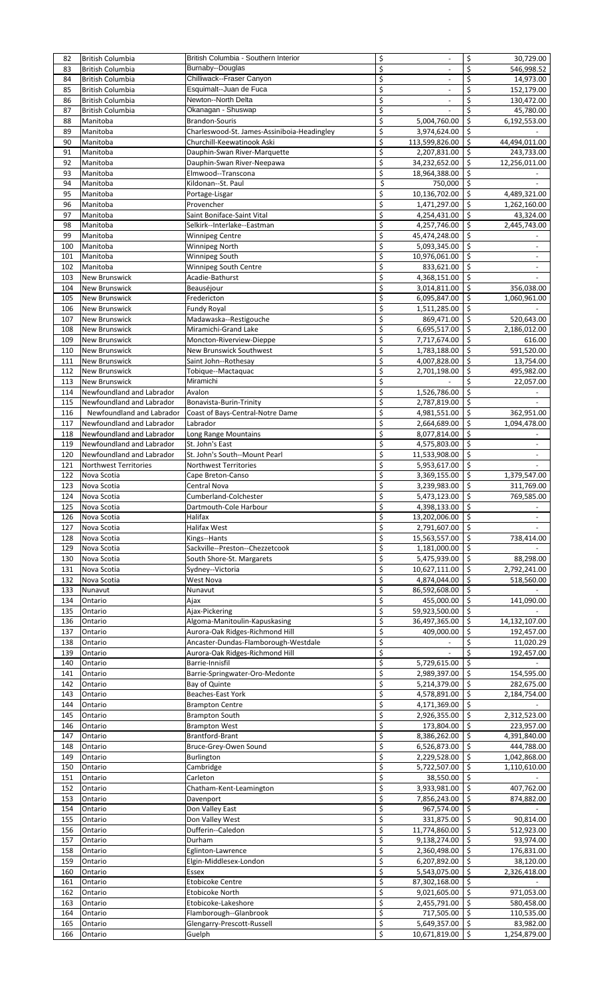| 82         |                              |                                             |          |                               |                     |                           |
|------------|------------------------------|---------------------------------------------|----------|-------------------------------|---------------------|---------------------------|
|            | British Columbia             | British Columbia - Southern Interior        | \$       | $\blacksquare$                | \$                  | 30,729.00                 |
| 83         | British Columbia             | Burnaby--Douglas                            | \$       |                               | \$                  | 546,998.52                |
| 84         | <b>British Columbia</b>      | Chilliwack--Fraser Canyon                   | \$       | $\sim$                        | \$                  | 14,973.00                 |
| 85         | British Columbia             | Esquimalt--Juan de Fuca                     | \$       |                               | \$                  | 152,179.00                |
| 86         | British Columbia             | Newton--North Delta                         | \$       | $\overline{\phantom{a}}$      | \$                  | 130,472.00                |
| 87         | British Columbia             | Okanagan - Shuswap                          | \$       |                               | \$                  | 45,780.00                 |
| 88         | Manitoba                     | <b>Brandon-Souris</b>                       | \$       | 5,004,760.00                  | \$                  | 6,192,553.00              |
| 89         | Manitoba                     | Charleswood-St. James-Assiniboia-Headingley | \$       | 3,974,624.00                  | \$                  |                           |
| 90         | Manitoba                     | Churchill-Keewatinook Aski                  | \$       | 113,599,826.00                | \$                  | 44,494,011.00             |
| 91         | Manitoba                     | Dauphin-Swan River-Marquette                | \$       | 2,207,831.00                  | \$                  | 243,733.00                |
| 92         | Manitoba                     | Dauphin-Swan River-Neepawa                  | \$       | 34,232,652.00                 | \$                  | 12,256,011.00             |
| 93         | Manitoba                     | Elmwood--Transcona                          | \$       | 18,964,388.00                 | \$                  |                           |
| 94         |                              |                                             | \$       |                               | -\$                 |                           |
|            | Manitoba                     | Kildonan--St. Paul                          |          | 750,000                       |                     |                           |
| 95         | Manitoba                     | Portage-Lisgar                              | \$       | 10,136,702.00                 | \$                  | 4,489,321.00              |
| 96         | Manitoba                     | Provencher                                  | \$       | 1,471,297.00                  | $\mathsf{\hat{S}}$  | 1,262,160.00              |
| 97         | Manitoba                     | Saint Boniface-Saint Vital                  | \$       | 4,254,431.00                  | \$                  | 43,324.00                 |
| 98         | Manitoba                     | Selkirk--Interlake--Eastman                 | \$       | 4,257,746.00                  | \$                  | 2,445,743.00              |
| 99         | Manitoba                     | Winnipeg Centre                             | \$       | 45,474,248.00                 | \$                  |                           |
| 100        | Manitoba                     | Winnipeg North                              | \$       | 5,093,345.00                  | $\zeta$             |                           |
| 101        | Manitoba                     | Winnipeg South                              | \$       | 10,976,061.00                 | \$                  | $\overline{\phantom{a}}$  |
| 102        | Manitoba                     | Winnipeg South Centre                       | \$       | 833,621.00                    | \$                  |                           |
| 103        | New Brunswick                | Acadie-Bathurst                             | \$       | 4,368,151.00                  | Ś.                  |                           |
| 104        | New Brunswick                | Beauséjour                                  | \$       | 3,014,811.00                  | Ś.                  | 356,038.00                |
| 105        | New Brunswick                | Fredericton                                 | \$       | 6,095,847.00                  | \$                  | 1,060,961.00              |
| 106        | New Brunswick                | Fundy Royal                                 | \$       | 1,511,285.00                  | Ŝ.                  |                           |
|            |                              |                                             |          |                               |                     |                           |
| 107        | New Brunswick                | Madawaska--Restigouche                      | \$       | 869,471.00                    | $\zeta$             | 520,643.00                |
| 108        | New Brunswick                | Miramichi-Grand Lake                        | \$       | 6,695,517.00                  | \$                  | 2,186,012.00              |
| 109        | New Brunswick                | Moncton-Riverview-Dieppe                    | \$       | 7,717,674.00                  | \$                  | 616.00                    |
| 110        | New Brunswick                | <b>New Brunswick Southwest</b>              | \$       | 1,783,188.00                  | \$                  | 591,520.00                |
| 111        | New Brunswick                | Saint John--Rothesay                        | \$       | 4,007,828.00                  | \$                  | 13,754.00                 |
| 112        | New Brunswick                | Tobique--Mactaquac                          | \$       | 2,701,198.00                  | \$                  | 495,982.00                |
| 113        | New Brunswick                | Miramichi                                   | \$       |                               | \$                  | 22,057.00                 |
| 114        | Newfoundland and Labrador    | Avalon                                      | \$       | 1,526,786.00                  | \$                  |                           |
| 115        | Newfoundland and Labrador    | Bonavista-Burin-Trinity                     | \$       | 2,787,819.00                  | \$                  |                           |
| 116        | Newfoundland and Labrador    | Coast of Bays-Central-Notre Dame            | \$       | 4,981,551.00                  | \$                  | 362,951.00                |
| 117        | Newfoundland and Labrador    | Labrador                                    | \$       |                               | \$                  |                           |
|            |                              |                                             |          | 2,664,689.00                  |                     | 1,094,478.00              |
| 118        | Newfoundland and Labrador    | Long Range Mountains                        | \$       | 8,077,814.00                  | \$                  |                           |
| 119        | Newfoundland and Labrador    | St. John's East                             | \$       | 4,575,803.00                  | \$                  |                           |
| 120        | Newfoundland and Labrador    | St. John's South--Mount Pearl               | \$       | 11,533,908.00                 | \$                  | $\blacksquare$            |
| 121        | <b>Northwest Territories</b> | Northwest Territories                       | \$       | 5,953,617.00                  | $\zeta$             |                           |
| 122        | Nova Scotia                  | Cape Breton-Canso                           | \$       | 3,369,155.00                  | \$                  | 1,379,547.00              |
| 123        | Nova Scotia                  | Central Nova                                | \$       | 3,239,983.00                  | $\mathsf{\hat{S}}$  | 311,769.00                |
| 124        | Nova Scotia                  | Cumberland-Colchester                       | \$       | $5,473,123.00$ \$             |                     | 769,585.00                |
| 125        | Nova Scotia                  | Dartmouth-Cole Harbour                      | \$       | 4,398,133.00                  | -\$                 |                           |
| 126        | Nova Scotia                  | Halifax                                     | \$       | 13,202,006.00                 | -\$                 |                           |
| 127        | Nova Scotia                  | Halifax West                                | \$       | 2,791,607.00                  | \$                  |                           |
| 128        | Nova Scotia                  | Kings--Hants                                | \$       | 15,563,557.00                 | \$                  | 738,414.00                |
| 129        | Nova Scotia                  | Sackville--Preston--Chezzetcook             | \$       | 1,181,000.00                  | \$                  |                           |
| 130        | Nova Scotia                  | South Shore-St. Margarets                   | \$       | 5,475,939.00                  | \$                  | 88,298.00                 |
| 131        | Nova Scotia                  | Sydney--Victoria                            | \$       | 10,627,111.00                 | Ŝ.                  | 2,792,241.00              |
|            |                              |                                             |          |                               |                     |                           |
| 132        | Nova Scotia                  | West Nova                                   |          |                               |                     | 518,560.00                |
| 133        |                              |                                             | \$       | 4,874,044.00                  | \$                  |                           |
|            | Nunavut                      | Nunavut                                     | \$       | 86,592,608.00                 | \$                  |                           |
| 134        | Ontario                      | Ajax                                        | \$       | 455,000.00                    | \$                  | 141,090.00                |
| 135        | Ontario                      | Ajax-Pickering                              | \$       | 59,923,500.00                 | \$                  |                           |
| 136        | Ontario                      | Algoma-Manitoulin-Kapuskasing               | \$       | 36,497,365.00                 | \$                  | 14,132,107.00             |
| 137        | Ontario                      | Aurora-Oak Ridges-Richmond Hill             | \$       | 409,000.00                    | \$                  | 192,457.00                |
| 138        | Ontario                      | Ancaster-Dundas-Flamborough-Westdale        | \$       |                               | \$                  | 11,020.29                 |
| 139        | Ontario                      | Aurora-Oak Ridges-Richmond Hill             | \$       |                               | \$                  | 192,457.00                |
| 140        | Ontario                      | Barrie-Innisfil                             | \$       | 5,729,615.00                  | Ŝ.                  |                           |
| 141        | Ontario                      | Barrie-Springwater-Oro-Medonte              | \$       | 2,989,397.00                  |                     | 154,595.00                |
| 142        | Ontario                      |                                             | \$       |                               | \$                  |                           |
|            |                              | Bay of Quinte                               |          | 5,214,379.00                  |                     | 282,675.00                |
| 143        | Ontario                      | Beaches-East York                           | \$       | 4,578,891.00                  | \$                  | 2,184,754.00              |
| 144        | Ontario                      | <b>Brampton Centre</b>                      | \$       | 4,171,369.00                  | \$                  |                           |
| 145        | Ontario                      | Brampton South                              | \$       | 2,926,355.00                  | \$                  | 2,312,523.00              |
| 146        | Ontario                      | <b>Brampton West</b>                        | \$       | 173,804.00                    | $\zeta$             | 223,957.00                |
| 147        | Ontario                      | Brantford-Brant                             | \$       | 8,386,262.00                  | \$                  | 4,391,840.00              |
| 148        | Ontario                      | Bruce-Grey-Owen Sound                       | \$       | 6,526,873.00                  | \$                  | 444,788.00                |
| 149        | Ontario                      | Burlington                                  | \$       | 2,229,528.00                  | \$                  | 1,042,868.00              |
| 150        | Ontario                      | Cambridge                                   | \$       | 5,722,507.00                  | $\zeta$             | 1,110,610.00              |
| 151        | Ontario                      | Carleton                                    | \$       | 38,550.00                     | \$                  |                           |
| 152        | Ontario                      | Chatham-Kent-Leamington                     | \$       | 3,933,981.00                  | Ŝ.                  | 407,762.00                |
| 153        | Ontario                      | Davenport                                   | \$       | 7,856,243.00                  | \$                  | 874,882.00                |
| 154        | Ontario                      | Don Valley East                             | \$       | 967,574.00                    | \$                  |                           |
| 155        | Ontario                      | Don Valley West                             | \$       | 331,875.00                    | \$                  | 90,814.00                 |
| 156        | Ontario                      |                                             | \$       | 11,774,860.00                 | Ŝ.                  | 512,923.00                |
|            |                              | Dufferin--Caledon<br>Durham                 | \$       |                               | \$                  |                           |
| 157        | Ontario                      |                                             |          | 9,138,274.00                  |                     | 93,974.00                 |
| 158        | Ontario                      | Eglinton-Lawrence                           | \$       | 2,360,498.00                  | \$                  | 176,831.00                |
| 159        | Ontario                      | Elgin-Middlesex-London                      | \$       | 6,207,892.00                  | \$                  | 38,120.00                 |
| 160        | Ontario                      | <b>Essex</b>                                | \$       | 5,543,075.00                  | \$                  | 2,326,418.00              |
| 161        | Ontario                      | <b>Etobicoke Centre</b>                     | \$       | 87,302,168.00                 | \$                  |                           |
| 162        | Ontario                      | Etobicoke North                             | \$       | 9,021,605.00                  | \$                  | 971,053.00                |
| 163        | Ontario                      | Etobicoke-Lakeshore                         | \$       | 2,455,791.00                  | \$                  | 580,458.00                |
| 164        | Ontario                      | Flamborough--Glanbrook                      | \$       | 717,505.00                    | \$                  | 110,535.00                |
| 165<br>166 | Ontario<br>Ontario           | Glengarry-Prescott-Russell<br>Guelph        | \$<br>\$ | 5,649,357.00<br>10,671,819.00 | \$<br>$\ddot{\phi}$ | 83,982.00<br>1,254,879.00 |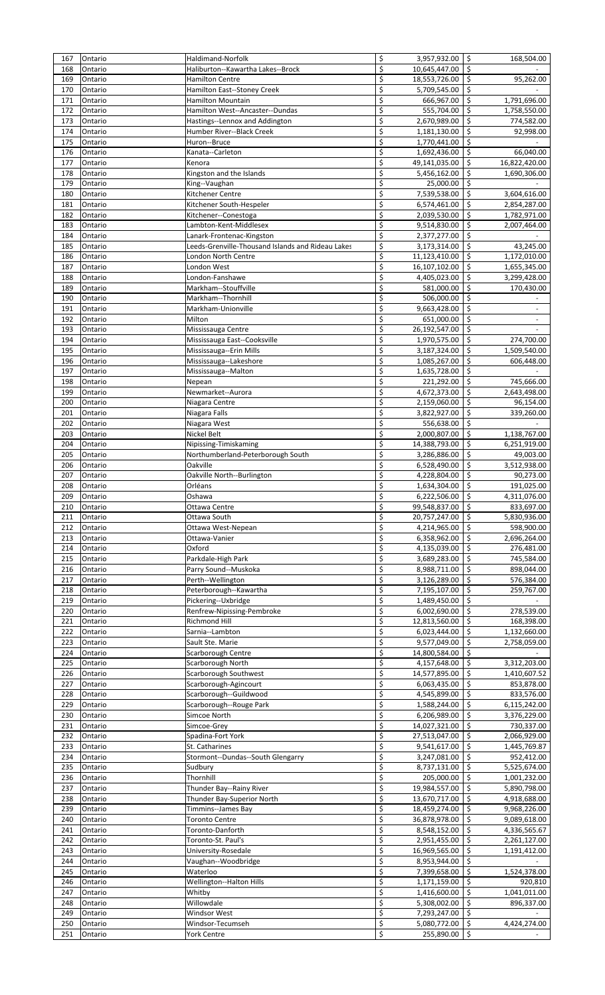| 167        | Ontario            | Haldimand-Norfolk                                     | \$       | 3,957,932.00                      | -\$                                      | 168,504.00                   |
|------------|--------------------|-------------------------------------------------------|----------|-----------------------------------|------------------------------------------|------------------------------|
| 168        | Ontario            | Haliburton--Kawartha Lakes--Brock                     | \$       | 10,645,447.00                     | $\mathsf{\hat{S}}$                       |                              |
| 169        | Ontario<br>Ontario | <b>Hamilton Centre</b><br>Hamilton East--Stoney Creek | \$<br>\$ | 18,553,726.00                     | $\mathsf{\hat{S}}$<br>\$                 | 95,262.00                    |
| 170<br>171 | Ontario            | <b>Hamilton Mountain</b>                              | \$       | 5,709,545.00<br>666,967.00        | $\mathsf{\hat{S}}$                       | 1,791,696.00                 |
| 172        | Ontario            | Hamilton West--Ancaster--Dundas                       | \$       | 555,704.00                        | $\mathsf{\hat{S}}$                       | 1,758,550.00                 |
| 173        | Ontario            | Hastings--Lennox and Addington                        | \$       | 2,670,989.00                      | $\mathsf{\hat{S}}$                       | 774,582.00                   |
| 174        | Ontario            | Humber River--Black Creek                             | \$       | 1,181,130.00                      | \$                                       | 92,998.00                    |
| 175        | Ontario            | Huron--Bruce                                          | \$       | 1,770,441.00                      | -\$                                      |                              |
| 176        | Ontario            | Kanata--Carleton                                      | \$       | 1,692,436.00                      | $\zeta$                                  | 66,040.00                    |
| 177        | Ontario            | Kenora                                                | \$       | 49,141,035.00                     | $\mathsf{\hat{S}}$                       | 16,822,420.00                |
| 178        | Ontario            | Kingston and the Islands                              | \$       | 5,456,162.00                      | \$                                       | 1,690,306.00                 |
| 179        | Ontario            | King--Vaughan                                         | \$       | 25,000.00                         | -\$                                      |                              |
| 180        | Ontario            | Kitchener Centre                                      | \$       | 7,539,538.00                      | $\zeta$                                  | 3,604,616.00                 |
| 181        | Ontario            | Kitchener South-Hespeler                              | \$       | 6,574,461.00                      | $\mathsf{\hat{S}}$                       | 2,854,287.00                 |
| 182<br>183 | Ontario<br>Ontario | Kitchener--Conestoga<br>Lambton-Kent-Middlesex        | \$<br>\$ | 2,039,530.00                      | \$<br>\$                                 | 1,782,971.00                 |
| 184        | Ontario            | Lanark-Frontenac-Kingston                             | \$       | 9,514,830.00<br>2,377,277.00      | $\zeta$                                  | 2,007,464.00                 |
| 185        | Ontario            | Leeds-Grenville-Thousand Islands and Rideau Lakes     | \$       | 3,173,314.00                      | $\mathsf{\hat{S}}$                       | 43,245.00                    |
| 186        | Ontario            | London North Centre                                   | \$       | 11,123,410.00                     | $\zeta$                                  | 1,172,010.00                 |
| 187        | Ontario            | London West                                           | \$       | 16,107,102.00                     | \$                                       | 1,655,345.00                 |
| 188        | Ontario            | London-Fanshawe                                       | \$       | 4,405,023.00                      | $\ddot{\phi}$                            | 3,299,428.00                 |
| 189        | Ontario            | Markham--Stouffville                                  | \$       | 581,000.00                        | $\mathsf{\hat{S}}$                       | 170,430.00                   |
| 190        | Ontario            | Markham--Thornhill                                    | \$       | 506,000.00                        | $\ddot{\phi}$                            |                              |
| 191        | Ontario            | Markham-Unionville                                    | \$       | 9,663,428.00                      | $\ddot{\phi}$                            |                              |
| 192        | Ontario            | Milton                                                | \$       | 651,000.00                        | $\overline{\mathcal{S}}$                 |                              |
| 193        | Ontario            | Mississauga Centre                                    | \$       | 26,192,547.00                     | $\zeta$                                  |                              |
| 194        | Ontario            | Mississauga East--Cooksville                          | \$       | 1,970,575.00                      | $\mathsf{\hat{S}}$                       | 274,700.00                   |
| 195        | Ontario            | Mississauga--Erin Mills                               | \$<br>\$ | 3,187,324.00                      | -\$                                      | 1,509,540.00                 |
| 196<br>197 | Ontario<br>Ontario | Mississauga--Lakeshore<br>Mississauga--Malton         | \$       | 1,085,267.00<br>1,635,728.00      | \$<br>$\mathsf{\hat{S}}$                 | 606,448.00                   |
| 198        | Ontario            | Nepean                                                | \$       | 221,292.00                        | $\mathsf{\hat{S}}$                       | 745,666.00                   |
| 199        | Ontario            | Newmarket--Aurora                                     | \$       | 4,672,373.00                      | \$                                       | 2,643,498.00                 |
| 200        | Ontario            | Niagara Centre                                        | \$       | 2,159,060.00                      | \$                                       | 96,154.00                    |
| 201        | Ontario            | Niagara Falls                                         | \$       | 3,822,927.00                      | \$                                       | 339,260.00                   |
| 202        | Ontario            | Niagara West                                          | \$       | 556,638.00                        | $\mathsf{\hat{S}}$                       |                              |
| 203        | Ontario            | <b>Nickel Belt</b>                                    | \$       | 2,000,807.00                      | \$                                       | 1,138,767.00                 |
| 204        | Ontario            | Nipissing-Timiskaming                                 | \$       | 14,388,793.00                     | \$                                       | 6,251,919.00                 |
| 205        | Ontario            | Northumberland-Peterborough South                     | \$       | 3,286,886.00                      | $\zeta$                                  | 49,003.00                    |
| 206        | Ontario            | Oakville                                              | \$       | 6,528,490.00                      | $\mathsf{\hat{S}}$                       | 3,512,938.00                 |
| 207        | Ontario            | Oakville North--Burlington                            | \$       | 4,228,804.00                      | \$                                       | 90,273.00                    |
| 208        | Ontario            | Orléans<br>Oshawa                                     | \$       | 1,634,304.00<br>$6,222,506.00$ \$ | $\zeta$                                  | 191,025.00                   |
| 209<br>210 | Ontario<br>Ontario | Ottawa Centre                                         | \$       | 99,548,837.00 \$                  |                                          | 4,311,076.00<br>833,697.00   |
| 211        | Ontario            | Ottawa South                                          | \$       | 20,757,247.00 \$                  |                                          | 5,830,936.00                 |
| 212        | Ontario            | Ottawa West-Nepean                                    | \$       | 4,214,965.00                      | $\ddot{\mathsf{s}}$                      | 598,900.00                   |
| 213        | Ontario            | Ottawa-Vanier                                         | \$       | 6,358,962.00                      | $\ddot{\mathsf{s}}$                      | 2,696,264.00                 |
| 214        | Ontario            | Oxford                                                | \$       | 4,135,039.00                      | $\ddot{\mathsf{s}}$                      | 276,481.00                   |
| 215        | Ontario            | Parkdale-High Park                                    | \$       | 3,689,283.00                      | \$                                       | 745,584.00                   |
| 216        | Ontario            | Parry Sound--Muskoka                                  | \$       | 8,988,711.00                      | 5                                        | 898,044.00                   |
| 217        | Ontario            | Perth--Wellington                                     | \$       | 3,126,289.00                      | $\ddot{\phi}$                            | 576,384.00                   |
| 218        | Ontario            | Peterborough--Kawartha                                | \$       | 7,195,107.00                      | $\zeta$                                  | 259,767.00                   |
| 219        | Ontario            | Pickering--Uxbridge                                   | \$       | 1,489,450.00                      | $\mathsf{\hat{S}}$                       |                              |
| 220        | Ontario            | Renfrew-Nipissing-Pembroke                            | \$       | 6,002,690.00                      | \$                                       | 278,539.00                   |
| 221        | Ontario            | Richmond Hill                                         | \$       | 12,813,560.00                     | -\$                                      | 168,398.00                   |
| 222<br>223 | Ontario            | Sarnia--Lambton                                       | \$<br>\$ | 6,023,444.00                      | $\mathsf{\hat{S}}$<br>$\mathsf{\hat{S}}$ | 1,132,660.00<br>2,758,059.00 |
| 224        | Ontario<br>Ontario | Sault Ste. Marie<br>Scarborough Centre                | \$       | 9,577,049.00<br>14,800,584.00     | \$                                       |                              |
| 225        | Ontario            | Scarborough North                                     | \$       | 4,157,648.00                      | \$                                       | 3,312,203.00                 |
| 226        | Ontario            | Scarborough Southwest                                 | \$       | 14,577,895.00                     | $\zeta$                                  | 1,410,607.52                 |
| 227        | Ontario            | Scarborough-Agincourt                                 | \$       | 6,063,435.00                      | -\$                                      | 853,878.00                   |
| 228        | Ontario            | Scarborough--Guildwood                                | \$       | 4,545,899.00                      | \$                                       | 833,576.00                   |
| 229        | Ontario            | Scarborough--Rouge Park                               | \$       | 1,588,244.00                      | \$                                       | 6,115,242.00                 |
| 230        | Ontario            | Simcoe North                                          | \$       | 6,206,989.00                      | $\zeta$                                  | 3,376,229.00                 |
| 231        | Ontario            | Simcoe-Grey                                           | \$       | 14,027,321.00                     | $\overline{\mathsf{s}}$                  | 730,337.00                   |
| 232        | Ontario            | Spadina-Fort York                                     | \$       | 27,513,047.00                     | \$                                       | 2,066,929.00                 |
| 233        | Ontario            | St. Catharines                                        | \$       | 9,541,617.00                      | 5                                        | 1,445,769.87                 |
| 234        | Ontario            | Stormont--Dundas--South Glengarry                     | \$       | 3,247,081.00                      | $\mathsf{\hat{S}}$                       | 952,412.00                   |
| 235        | Ontario            | Sudbury                                               | \$       | 8,737,131.00                      | 5                                        | 5,525,674.00                 |
| 236<br>237 | Ontario<br>Ontario | Thornhill<br>Thunder Bay--Rainy River                 | \$<br>\$ | 205,000.00<br>19,984,557.00       | \$<br>\$                                 | 1,001,232.00                 |
| 238        | Ontario            | Thunder Bay-Superior North                            | \$       | 13,670,717.00                     | $\ddot{\phi}$                            | 5,890,798.00<br>4,918,688.00 |
| 239        | Ontario            | Timmins--James Bay                                    | \$       | 18,459,274.00                     | \$                                       | 9,968,226.00                 |
| 240        | Ontario            | <b>Toronto Centre</b>                                 | \$       | 36,878,978.00                     | \$                                       | 9,089,618.00                 |
| 241        | Ontario            | Toronto-Danforth                                      | \$       | 8,548,152.00                      | 5                                        | 4,336,565.67                 |
| 242        | Ontario            | Toronto-St. Paul's                                    | \$       | 2,951,455.00                      | $\ddot{\phi}$                            | 2,261,127.00                 |
| 243        | Ontario            | University-Rosedale                                   | \$       | 16,969,565.00                     | $\mathsf{\hat{S}}$                       | 1,191,412.00                 |
| 244        | Ontario            | Vaughan--Woodbridge                                   | \$       | 8,953,944.00                      | -\$                                      |                              |
| 245        | Ontario            | Waterloo                                              | \$       | 7,399,658.00                      | -\$                                      | 1,524,378.00                 |
| 246        | Ontario            | Wellington--Halton Hills                              | \$       | 1,171,159.00                      | -\$                                      | 920,810                      |
| 247        | Ontario            | Whitby                                                | \$       | 1,416,600.00                      | $\mathsf{\hat{S}}$                       | 1,041,011.00                 |
| 248        | Ontario            | Willowdale                                            | \$       | 5,308,002.00                      | $\mathsf{\hat{S}}$                       | 896,337.00                   |
| 249        | Ontario            | Windsor West                                          | \$       | 7,293,247.00                      | \$                                       |                              |
| 250        | Ontario            | Windsor-Tecumseh                                      | \$       | 5,080,772.00                      | \$<br>$\mathsf{\hat{S}}$                 | 4,424,274.00                 |
| 251        | Ontario            | <b>York Centre</b>                                    | \$       | 255,890.00                        |                                          |                              |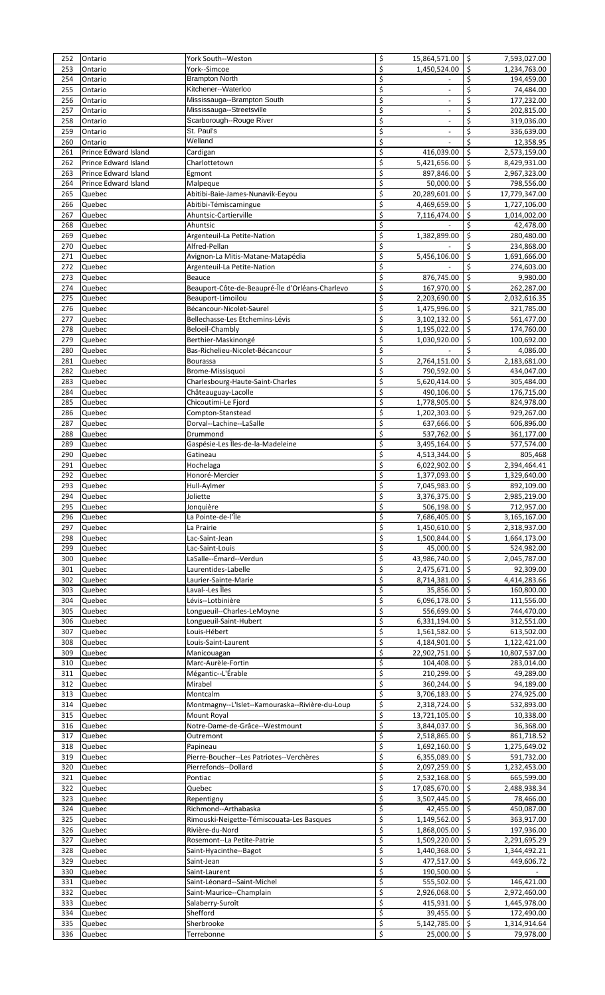| 252 | Ontario              | York South--Weston                              | \$       | 15,864,571.00 \$             | 7,593,027.00                       |
|-----|----------------------|-------------------------------------------------|----------|------------------------------|------------------------------------|
| 253 | Ontario              | York--Simcoe                                    | \$       | 1,450,524.00                 | $\mathsf{\hat{S}}$<br>1,234,763.00 |
| 254 | Ontario              | <b>Brampton North</b>                           | \$       |                              | \$<br>194,459.00                   |
| 255 | Ontario              | Kitchener--Waterloo                             | \$       |                              | \$<br>74,484.00                    |
| 256 | Ontario              | Mississauga--Brampton South                     | \$       |                              | $\overline{\xi}$<br>177,232.00     |
| 257 | Ontario              | Mississauga--Streetsville                       | \$       |                              | \$<br>202,815.00                   |
|     |                      | Scarborough--Rouge River                        |          |                              |                                    |
| 258 | Ontario              |                                                 | \$       |                              | \$<br>319,036.00                   |
| 259 | Ontario              | St. Paul's                                      | \$       |                              | \$<br>336,639.00                   |
| 260 | Ontario              | Welland                                         | \$       |                              | \$<br>12,358.95                    |
| 261 | Prince Edward Island | Cardigan                                        | \$       | 416,039.00                   | \$<br>2,573,159.00                 |
| 262 | Prince Edward Island | Charlottetown                                   | \$       | 5,421,656.00                 | Ŝ.<br>8,429,931.00                 |
| 263 | Prince Edward Island | Egmont                                          | \$       | 897,846.00                   | \$.<br>2,967,323.00                |
| 264 | Prince Edward Island | Malpeque                                        | \$       | 50,000.00                    | Ŝ.<br>798,556.00                   |
|     |                      |                                                 |          |                              |                                    |
| 265 | Quebec               | Abitibi-Baie-James-Nunavik-Eeyou                | \$       | 20,289,601.00                | \$<br>17,779,347.00                |
| 266 | Quebec               | Abitibi-Témiscamingue                           | \$       | 4,469,659.00                 | -Ś<br>1,727,106.00                 |
| 267 | Quebec               | Ahuntsic-Cartierville                           | \$       | 7,116,474.00                 | \$<br>1,014,002.00                 |
| 268 | Quebec               | Ahuntsic                                        | \$       |                              | \$<br>42,478.00                    |
| 269 | Quebec               | Argenteuil-La Petite-Nation                     | \$       | 1,382,899.00                 | \$<br>280,480.00                   |
| 270 | Quebec               | Alfred-Pellan                                   | \$       |                              | Ś.<br>234,868.00                   |
| 271 | Quebec               | Avignon-La Mitis-Matane-Matapédia               | \$       | 5,456,106.00                 | \$<br>1,691,666.00                 |
| 272 | Quebec               |                                                 | \$       |                              | Ś.                                 |
|     |                      | Argenteuil-La Petite-Nation                     |          |                              | 274,603.00                         |
| 273 | Quebec               | <b>Beauce</b>                                   | \$       | 876,745.00                   | $\mathsf{\hat{S}}$<br>9,980.00     |
| 274 | Quebec               | Beauport-Côte-de-Beaupré-Île d'Orléans-Charlevo | \$       | 167,970.00                   | -Ś<br>262,287.00                   |
| 275 | Quebec               | Beauport-Limoilou                               | \$       | 2,203,690.00                 | \$<br>2,032,616.35                 |
| 276 | Quebec               | Bécancour-Nicolet-Saurel                        | \$       | 1,475,996.00                 | \$<br>321,785.00                   |
| 277 | Quebec               | Bellechasse-Les Etchemins-Lévis                 | \$       | 3,102,132.00                 | \$.<br>561,477.00                  |
|     |                      |                                                 | \$       |                              | $\mathsf{\hat{S}}$                 |
| 278 | Quebec               | Beloeil-Chambly                                 |          | 1,195,022.00                 | 174,760.00                         |
| 279 | Quebec               | Berthier-Maskinongé                             | \$       | 1,030,920.00                 | \$<br>100,692.00                   |
| 280 | Quebec               | Bas-Richelieu-Nicolet-Bécancour                 | \$       |                              | \$<br>4,086.00                     |
| 281 | Quebec               | <b>Bourassa</b>                                 | \$       | 2,764,151.00                 | $\mathsf{\hat{S}}$<br>2,183,681.00 |
| 282 | Quebec               | Brome-Missisquoi                                | \$       | 790,592.00                   | -Ś<br>434,047.00                   |
| 283 | Quebec               | Charlesbourg-Haute-Saint-Charles                | \$       | 5,620,414.00                 | S.<br>305,484.00                   |
| 284 | Quebec               | Châteauguay-Lacolle                             | \$       |                              | \$                                 |
|     |                      |                                                 |          | 490,106.00                   | 176,715.00                         |
| 285 | Quebec               | Chicoutimi-Le Fjord                             | \$       | 1,778,905.00                 | Ŝ.<br>824,978.00                   |
| 286 | Quebec               | Compton-Stanstead                               | \$       | 1,202,303.00                 | Ŝ.<br>929,267.00                   |
| 287 | Quebec               | Dorval--Lachine--LaSalle                        | \$       | 637,666.00                   | Ŝ.<br>606,896.00                   |
| 288 | Quebec               | Drummond                                        | \$       | 537,762.00                   | \$.<br>361,177.00                  |
| 289 | Quebec               | Gaspésie-Les Îles-de-la-Madeleine               | \$       | 3,495,164.00                 | Ŝ.<br>577,574.00                   |
| 290 | Quebec               | Gatineau                                        | \$       | 4,513,344.00                 | \$<br>805,468                      |
|     |                      |                                                 |          |                              | 2,394,464.41                       |
| 291 | Quebec               | Hochelaga                                       | \$       | 6,022,902.00 \$              |                                    |
| 292 | Quebec               | Honoré-Mercier                                  | \$       | 1,377,093.00                 | S.<br>1,329,640.00                 |
| 293 | Quebec               | Hull-Aylmer                                     | \$       | 7,045,983.00 \$              | 892,109.00                         |
| 294 | Quebec               | Joliette                                        | \$       | $3,376,375.00$ \$            | 2,985,219.00                       |
| 295 | Quebec               | Jonquière                                       | \$       | 506,198.00 \$                | 712,957.00                         |
| 296 | Quebec               | La Pointe-de-l'Île                              | \$       | 7,686,405.00 \$              | 3,165,167.00                       |
|     |                      |                                                 |          |                              |                                    |
| 297 | Quebec               | La Prairie                                      | \$       | 1,450,610.00 \$              | 2,318,937.00                       |
| 298 | Quebec               | Lac-Saint-Jean                                  | \$       | 1,500,844.00                 | \$.<br>1,664,173.00                |
| 299 | Quebec               | Lac-Saint-Louis                                 | \$       | 45,000.00 \$                 | 524,982.00                         |
| 300 | Quebec               | LaSalle--Émard--Verdun                          | \$       | 43,986,740.00                | \$<br>2,045,787.00                 |
| 301 | Quebec               | Laurentides-Labelle                             | \$       | 2,475,671.00 \$              | 92,309.00                          |
| 302 | Quebec               | Laurier-Sainte-Marie                            | \$       | 8,714,381.00                 | \$.<br>4,414,283.66                |
|     |                      |                                                 | \$       |                              | ١ś                                 |
| 303 | Quebec               | Laval--Les Îles                                 |          | 35,856.00                    | 160,800.00                         |
| 304 | Quebec               | Lévis--Lotbinière                               | \$       | 6,096,178.00 \$              | 111,556.00                         |
| 305 | Quebec               | Longueuil--Charles-LeMoyne                      | \$       | 556,699.00                   | -\$<br>744,470.00                  |
| 306 | Quebec               | Longueuil-Saint-Hubert                          | \$       | 6,331,194.00                 | -\$<br>312,551.00                  |
| 307 | Quebec               | Louis-Hébert                                    | \$       | 1,561,582.00                 | -\$<br>613,502.00                  |
| 308 | Quebec               | Louis-Saint-Laurent                             | \$       | 4,184,901.00 \$              | 1,122,421.00                       |
| 309 | Quebec               | Manicouagan                                     | \$       | 22,902,751.00                | -\$<br>10,807,537.00               |
|     |                      |                                                 |          |                              |                                    |
| 310 | Quebec               | Marc-Aurèle-Fortin                              | \$       | 104,408.00                   | Ŝ.<br>283,014.00                   |
| 311 | Quebec               | Mégantic--L'Érable                              | \$       | 210,299.00                   | Ŝ.<br>49,289.00                    |
| 312 | Quebec               | Mirabel                                         | \$       | 360,244.00                   | Ŝ.<br>94,189.00                    |
| 313 | Quebec               | Montcalm                                        | \$       | 3,706,183.00                 | \$.<br>274,925.00                  |
| 314 | Quebec               | Montmagny--L'Islet--Kamouraska--Rivière-du-Loup | \$       | 2,318,724.00                 | \$.<br>532,893.00                  |
| 315 | Quebec               | Mount Royal                                     | \$       | 13,721,105.00                | \$<br>10,338.00                    |
| 316 | Quebec               | Notre-Dame-de-Grâce--Westmount                  | \$       | 3,844,037.00                 | -Ś<br>36,368.00                    |
|     |                      |                                                 |          |                              |                                    |
| 317 | Quebec               | Outremont                                       | \$       | 2,518,865.00 \$              | 861,718.52                         |
| 318 | Quebec               | Papineau                                        | \$       | 1,692,160.00                 | -\$<br>1,275,649.02                |
| 319 | Quebec               | Pierre-Boucher--Les Patriotes--Verchères        | \$       | 6,355,089.00                 | S.<br>591,732.00                   |
| 320 | Quebec               | Pierrefonds--Dollard                            | \$       | 2,097,259.00 \$              | 1,232,453.00                       |
| 321 | Quebec               | Pontiac                                         | \$       | 2,532,168.00 \$              | 665,599.00                         |
| 322 | Quebec               | Quebec                                          | \$       | 17,085,670.00                | -\$<br>2,488,938.34                |
| 323 | Quebec               | Repentigny                                      | \$       | 3,507,445.00                 | \$<br>78,466.00                    |
|     | Quebec               | Richmond--Arthabaska                            | \$       | 42,455.00 \$                 | 450,087.00                         |
|     |                      |                                                 |          |                              |                                    |
| 324 |                      | Rimouski-Neigette-Témiscouata-Les Basques       | \$       | 1,149,562.00                 | 363,917.00                         |
| 325 | Quebec               |                                                 |          | 1,868,005.00 \$              | 197,936.00                         |
| 326 | Quebec               | Rivière-du-Nord                                 | \$       |                              |                                    |
| 327 | Quebec               | Rosemont--La Petite-Patrie                      | \$       | 1,509,220.00                 | \$<br>2,291,695.29                 |
| 328 | Quebec               | Saint-Hyacinthe--Bagot                          | \$       | 1,440,368.00 \$              | 1,344,492.21                       |
|     |                      |                                                 |          |                              |                                    |
| 329 | Quebec               | Saint-Jean                                      | \$       | 477,517.00 \$                | 449,606.72                         |
| 330 | Quebec               | Saint-Laurent                                   | \$       | 190,500.00 \$                |                                    |
| 331 | Quebec               | Saint-Léonard--Saint-Michel                     | \$       | 555,502.00                   | S.<br>146,421.00                   |
| 332 | Quebec               | Saint-Maurice--Champlain                        | \$       | 2,926,068.00                 | -Ś<br>2,972,460.00                 |
| 333 | Quebec               | Salaberry-Suroît                                | \$       | 415,931.00 \$                | 1,445,978.00                       |
| 334 |                      | Shefford                                        |          |                              |                                    |
| 335 | Quebec<br>Quebec     | Sherbrooke                                      | \$<br>\$ | 39,455.00 \$<br>5,142,785.00 | 172,490.00<br>-\$<br>1,314,914.64  |